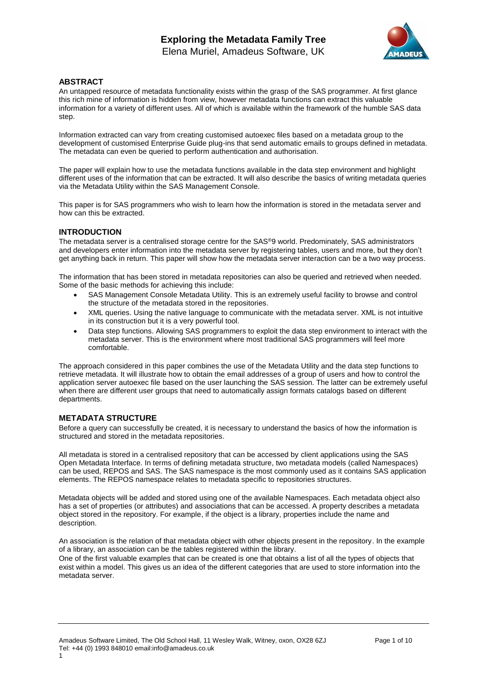

# **ABSTRACT**

An untapped resource of metadata functionality exists within the grasp of the SAS programmer. At first glance this rich mine of information is hidden from view, however metadata functions can extract this valuable information for a variety of different uses. All of which is available within the framework of the humble SAS data step.

Information extracted can vary from creating customised autoexec files based on a metadata group to the development of customised Enterprise Guide plug-ins that send automatic emails to groups defined in metadata. The metadata can even be queried to perform authentication and authorisation.

The paper will explain how to use the metadata functions available in the data step environment and highlight different uses of the information that can be extracted. It will also describe the basics of writing metadata queries via the Metadata Utility within the SAS Management Console.

This paper is for SAS programmers who wish to learn how the information is stored in the metadata server and how can this be extracted.

## **INTRODUCTION**

The metadata server is a centralised storage centre for the SAS®9 world. Predominately, SAS administrators and developers enter information into the metadata server by registering tables, users and more, but they don't get anything back in return. This paper will show how the metadata server interaction can be a two way process.

The information that has been stored in metadata repositories can also be queried and retrieved when needed. Some of the basic methods for achieving this include:

- SAS Management Console Metadata Utility. This is an extremely useful facility to browse and control the structure of the metadata stored in the repositories.
- XML queries. Using the native language to communicate with the metadata server. XML is not intuitive in its construction but it is a very powerful tool.
- Data step functions. Allowing SAS programmers to exploit the data step environment to interact with the metadata server. This is the environment where most traditional SAS programmers will feel more comfortable.

The approach considered in this paper combines the use of the Metadata Utility and the data step functions to retrieve metadata. It will illustrate how to obtain the email addresses of a group of users and how to control the application server autoexec file based on the user launching the SAS session. The latter can be extremely useful when there are different user groups that need to automatically assign formats catalogs based on different departments.

## **METADATA STRUCTURE**

Before a query can successfully be created, it is necessary to understand the basics of how the information is structured and stored in the metadata repositories.

All metadata is stored in a centralised repository that can be accessed by client applications using the SAS Open Metadata Interface. In terms of defining metadata structure, two metadata models (called Namespaces) can be used, REPOS and SAS. The SAS namespace is the most commonly used as it contains SAS application elements. The REPOS namespace relates to metadata specific to repositories structures.

Metadata objects will be added and stored using one of the available Namespaces. Each metadata object also has a set of properties (or attributes) and associations that can be accessed. A property describes a metadata object stored in the repository. For example, if the object is a library, properties include the name and description.

An association is the relation of that metadata object with other objects present in the repository. In the example of a library, an association can be the tables registered within the library.

One of the first valuable examples that can be created is one that obtains a list of all the types of objects that exist within a model. This gives us an idea of the different categories that are used to store information into the metadata server.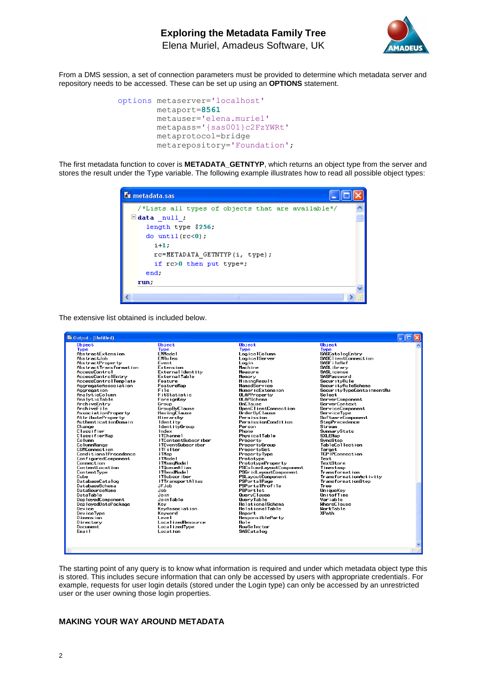

From a DMS session, a set of connection parameters must be provided to determine which metadata server and repository needs to be accessed. These can be set up using an **OPTIONS** statement.

```
options metaserver='localhost'
         metaport=8561
         metauser='elena.muriel'
         metapass='{sas001}c2FzYWRt'
         metaprotocol=bridge 
         metarepository='Foundation';
```
The first metadata function to cover is **METADATA\_GETNTYP**, which returns an object type from the server and stores the result under the Type variable. The following example illustrates how to read all possible object types:



The extensive list obtained is included below.

The starting point of any query is to know what information is required and under which metadata object type this is stored. This includes secure information that can only be accessed by users with appropriate credentials. For example, requests for user login details (stored under the Login type) can only be accessed by an unrestricted user or the user owning those login properties.

## **MAKING YOUR WAY AROUND METADATA**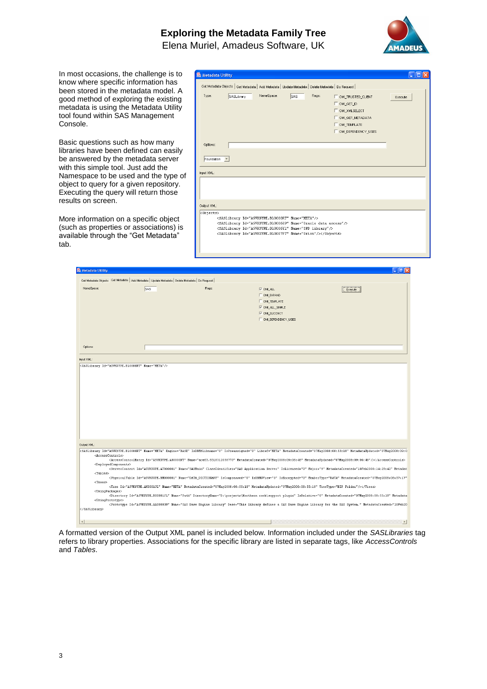

 $\sqrt{|\mathbf{e}||\mathbf{X}|}$ 

In most occasions, the challenge is to know where specific information has been stored in the metadata model. A good method of exploring the existing metadata is using the Metadata Utility tool found within SAS Management Console.

Basic questions such as how many libraries have been defined can easily be answered by the metadata server with this simple tool. Just add the Namespace to be used and the type of object to query for a given repository. Executing the query will return those results on screen.

More information on a specific object (such as properties or associations) is available through the "Get Metadata" tab.

**Standard Hill** 

| <b>&amp; Metadata Utility</b> |            |                                                                                                                                                                                                                                                                                            |            |        |                                                                                                                     |         |
|-------------------------------|------------|--------------------------------------------------------------------------------------------------------------------------------------------------------------------------------------------------------------------------------------------------------------------------------------------|------------|--------|---------------------------------------------------------------------------------------------------------------------|---------|
|                               |            | Get Metadata Objects   Get Metadata   Add Metadata   Update Metadata   Delete Metadata   Do Request                                                                                                                                                                                        |            |        |                                                                                                                     |         |
| Type:                         | SASLibrary | NameSpace:                                                                                                                                                                                                                                                                                 | <b>SAS</b> | Flags: | OMLTRUSTED_CLIENT<br>OMI_GET_ID<br>OMI_XMLSELECT<br><b>E OMI GET METADATA</b><br>OMLTEMPLATE<br>OMI_DEPENDENCY_USES | Execute |
| Options:<br>Foundation -      |            |                                                                                                                                                                                                                                                                                            |            |        |                                                                                                                     |         |
| Input XML:                    |            |                                                                                                                                                                                                                                                                                            |            |        |                                                                                                                     |         |
| Output XML:                   |            |                                                                                                                                                                                                                                                                                            |            |        |                                                                                                                     |         |
| <0bjects>                     |            | <saslibrary id="A5VKSYPE.BL0000RT" name="META"></saslibrary><br><saslibrary id="A5VKSYPE.BL000669" name="0racle data access"></saslibrary><br><saslibrary id="A5VKSYPE.BL0006Y1" name="SPD library"></saslibrary><br><saslibrary id="A5VKSYPE.BL0007PT" name="0rion"></saslibrary> 0bjects |            |        |                                                                                                                     |         |

| NameSpace:                                                   | SAS | Flags: | <b>IV OM ALL</b>                                                                                                                                 | Execute                                                                                                                                                                                                                                                                                                                                                                                                                                                                                                                                                                               |
|--------------------------------------------------------------|-----|--------|--------------------------------------------------------------------------------------------------------------------------------------------------|---------------------------------------------------------------------------------------------------------------------------------------------------------------------------------------------------------------------------------------------------------------------------------------------------------------------------------------------------------------------------------------------------------------------------------------------------------------------------------------------------------------------------------------------------------------------------------------|
|                                                              |     |        | OMLEXPAND                                                                                                                                        |                                                                                                                                                                                                                                                                                                                                                                                                                                                                                                                                                                                       |
|                                                              |     |        | OM_TEMPLATE                                                                                                                                      |                                                                                                                                                                                                                                                                                                                                                                                                                                                                                                                                                                                       |
|                                                              |     |        | V OM_ALL_SIMPLE                                                                                                                                  |                                                                                                                                                                                                                                                                                                                                                                                                                                                                                                                                                                                       |
|                                                              |     |        | $\nabla$ OM_SUCCINCT                                                                                                                             |                                                                                                                                                                                                                                                                                                                                                                                                                                                                                                                                                                                       |
|                                                              |     |        | OM_DEPENDENCY_USES                                                                                                                               |                                                                                                                                                                                                                                                                                                                                                                                                                                                                                                                                                                                       |
|                                                              |     |        |                                                                                                                                                  |                                                                                                                                                                                                                                                                                                                                                                                                                                                                                                                                                                                       |
|                                                              |     |        |                                                                                                                                                  |                                                                                                                                                                                                                                                                                                                                                                                                                                                                                                                                                                                       |
|                                                              |     |        |                                                                                                                                                  |                                                                                                                                                                                                                                                                                                                                                                                                                                                                                                                                                                                       |
|                                                              |     |        |                                                                                                                                                  |                                                                                                                                                                                                                                                                                                                                                                                                                                                                                                                                                                                       |
| Options:                                                     |     |        |                                                                                                                                                  |                                                                                                                                                                                                                                                                                                                                                                                                                                                                                                                                                                                       |
|                                                              |     |        |                                                                                                                                                  |                                                                                                                                                                                                                                                                                                                                                                                                                                                                                                                                                                                       |
| Input XML:                                                   |     |        |                                                                                                                                                  |                                                                                                                                                                                                                                                                                                                                                                                                                                                                                                                                                                                       |
| <saslibrary id="A5VKSYPE.BL0000RT" name="META"></saslibrary> |     |        |                                                                                                                                                  |                                                                                                                                                                                                                                                                                                                                                                                                                                                                                                                                                                                       |
|                                                              |     |        |                                                                                                                                                  |                                                                                                                                                                                                                                                                                                                                                                                                                                                                                                                                                                                       |
|                                                              |     |        |                                                                                                                                                  |                                                                                                                                                                                                                                                                                                                                                                                                                                                                                                                                                                                       |
|                                                              |     |        |                                                                                                                                                  |                                                                                                                                                                                                                                                                                                                                                                                                                                                                                                                                                                                       |
|                                                              |     |        |                                                                                                                                                  |                                                                                                                                                                                                                                                                                                                                                                                                                                                                                                                                                                                       |
|                                                              |     |        |                                                                                                                                                  |                                                                                                                                                                                                                                                                                                                                                                                                                                                                                                                                                                                       |
|                                                              |     |        |                                                                                                                                                  |                                                                                                                                                                                                                                                                                                                                                                                                                                                                                                                                                                                       |
|                                                              |     |        |                                                                                                                                                  |                                                                                                                                                                                                                                                                                                                                                                                                                                                                                                                                                                                       |
|                                                              |     |        |                                                                                                                                                  |                                                                                                                                                                                                                                                                                                                                                                                                                                                                                                                                                                                       |
|                                                              |     |        |                                                                                                                                                  |                                                                                                                                                                                                                                                                                                                                                                                                                                                                                                                                                                                       |
|                                                              |     |        |                                                                                                                                                  |                                                                                                                                                                                                                                                                                                                                                                                                                                                                                                                                                                                       |
|                                                              |     |        |                                                                                                                                                  |                                                                                                                                                                                                                                                                                                                                                                                                                                                                                                                                                                                       |
|                                                              |     |        |                                                                                                                                                  |                                                                                                                                                                                                                                                                                                                                                                                                                                                                                                                                                                                       |
|                                                              |     |        |                                                                                                                                                  |                                                                                                                                                                                                                                                                                                                                                                                                                                                                                                                                                                                       |
|                                                              |     |        |                                                                                                                                                  |                                                                                                                                                                                                                                                                                                                                                                                                                                                                                                                                                                                       |
|                                                              |     |        |                                                                                                                                                  |                                                                                                                                                                                                                                                                                                                                                                                                                                                                                                                                                                                       |
| Output XML:                                                  |     |        |                                                                                                                                                  |                                                                                                                                                                                                                                                                                                                                                                                                                                                                                                                                                                                       |
|                                                              |     |        |                                                                                                                                                  |                                                                                                                                                                                                                                                                                                                                                                                                                                                                                                                                                                                       |
| <accesscontrols></accesscontrols>                            |     |        |                                                                                                                                                  |                                                                                                                                                                                                                                                                                                                                                                                                                                                                                                                                                                                       |
|                                                              |     |        |                                                                                                                                                  |                                                                                                                                                                                                                                                                                                                                                                                                                                                                                                                                                                                       |
| <deployedcomponents></deployedcomponents>                    |     |        |                                                                                                                                                  |                                                                                                                                                                                                                                                                                                                                                                                                                                                                                                                                                                                       |
|                                                              |     |        |                                                                                                                                                  |                                                                                                                                                                                                                                                                                                                                                                                                                                                                                                                                                                                       |
| $<$ Tables $>$                                               |     |        |                                                                                                                                                  | <saslibrary <br="" engine="BASE" id="ASVKSYPE.BLOOOORT" isdbmslibname="0" ispreassigned="0" libref="META" metadatacreated="07May2008:08:55:18" metadataupdated="07May2008:08:55:18" name="NETA"><accesscontrolentry id="A5VKSYPE.A80000RT" metadatacreated="07May2008:09:06:48" metadataupdated="07May2008:09:06:48" name="ace63.8318312058773"></accesscontrolentry><br/><servercontext classidentifier="SAS Application Server" id="A5VKSYPE.AT000001" islicensed="0" major="9" metadat<="" metadatacreated="18Feb2008:14:29:41" name="SASMain" td=""></servercontext></saslibrary> |
|                                                              |     |        |                                                                                                                                                  | <physicaltable <="" id="A5VKSYPE.BM000001" iscompressed="0" isdbmsview="0" isencrypted="0" membertype="DATA" metadatacreated="07May2008:08:57:17" name="DATA DICTIONARY" td=""></physicaltable>                                                                                                                                                                                                                                                                                                                                                                                       |
| <trees></trees>                                              |     |        | <tree id="ASVKSYPE.AK0001JL" metadatacreated="07May2008:08:55:18" metadataupdated="07May2008:08:55:18" name="META" treetype="BIP Folder"></tree> |                                                                                                                                                                                                                                                                                                                                                                                                                                                                                                                                                                                       |
| <usingpackages></usingpackages>                              |     |        |                                                                                                                                                  |                                                                                                                                                                                                                                                                                                                                                                                                                                                                                                                                                                                       |
|                                                              |     |        |                                                                                                                                                  |                                                                                                                                                                                                                                                                                                                                                                                                                                                                                                                                                                                       |
| <usingprototype></usingprototype>                            |     |        |                                                                                                                                                  |                                                                                                                                                                                                                                                                                                                                                                                                                                                                                                                                                                                       |
|                                                              |     |        |                                                                                                                                                  | <directory directoryname="D:\projects\Northern rock\support plugin" id="A5VKSYPE.B00001JL" isrelative="0" metadata<br="" metadatacreated="07May2008:08:55:18" name="Path">&lt;Prototype Id="A5VKSYPE.AA00003R" Name="SAS Base Engine Library" Desc="This library defines a SAS Base Engine Library for the SAS System." MetadataCreated="18Feb20&lt;/td&gt;</directory>                                                                                                                                                                                                               |

A formatted version of the Output XML panel is included below. Information included under the *SASLibraries* tag refers to library properties. Associations for the specific library are listed in separate tags, like *AccessControls* and *Tables*.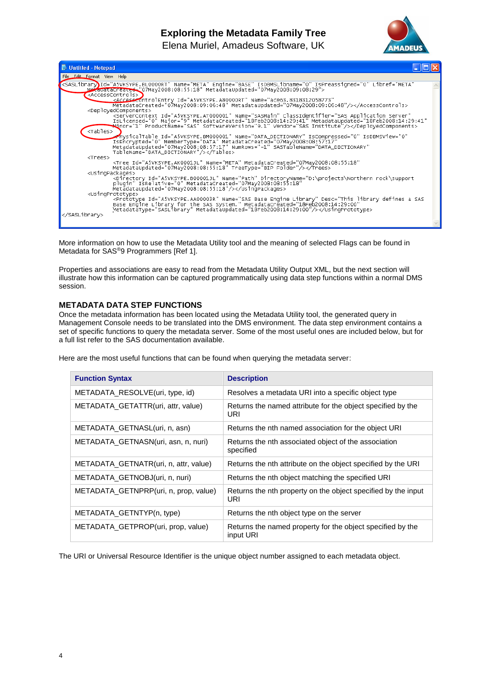

| Untitled - Notepad                                                                                                                                                                                                                                                                                   |  |
|------------------------------------------------------------------------------------------------------------------------------------------------------------------------------------------------------------------------------------------------------------------------------------------------------|--|
| File Edit Format View Help                                                                                                                                                                                                                                                                           |  |
| <saslibrary)id="a5vksype.bl0000rt" <br="" engine="BASE" isdbmslibname="0" ispreassigned="0" libref="META" name="META">MexiculataCreated="07May2008:08:55:18" MetadataUpdated="07May2008:09:08:29"&gt;<br/><accesscontrols></accesscontrols></saslibrary)id="a5vksype.bl0000rt">                      |  |
| <accesseontrolentry <br="" id="A5VKSYPE.A80000RT" name="ace63.8318312058773">MetadataCreated="07May2008:09:06:48" MetadataUpdated="07May2008:09:06:48"/&gt;<br/><deployedcomponents></deployedcomponents></accesseontrolentry>                                                                       |  |
| <tables></tables>                                                                                                                                                                                                                                                                                    |  |
| "mysicalTable Id="A5VKSYPE.BM000001" Name="DATA_DICTIONARY" IsCompressed="0" IsDBMSView="0"<br>[15] [17] IsEncrypted="0" MemberType="DATA" MetadataCreated="07May2008:08:57:17"<br>MetadataUpdated="07May2008:08:57:17" NumRows="-1" SASTableName="DATA_DICTIONARY"<br>TableName="DATA_DICTIONARY"/> |  |
| $<$ Trees $>$<br><tree <br="" id="A5VKSYPE.AK0001JL" metadatacreated="07May2008:08:55:18" name="META">MetadataUpdated="07May2008:08:55:18" TreeType="BIP Folder"/&gt;</tree>                                                                                                                         |  |
| <usingpackages><br/><directory <br="" directoryname="D:\projects\Northern rock\support&lt;br&gt;plugin" id="A5VKSYPE.B00001JL" isrelative="0" metadatacreated="07May2008:08:55:18" name="Path">MetadataUpdated="07May2008:08:55:18"/&gt;</directory></usingpackages>                                 |  |
| <usingprototype><br/><prototype <br="" desc="This library defines a SAS&lt;br&gt;Base Engine Library for the SAS System." id="A5VKSYPE.AA00003R" metadatacreated="18Feb2008:14:29:00" name="SAS Base Engine Library">MetadataType="SASLibrary" MetadataUpdated="18F</prototype></usingprototype>     |  |
|                                                                                                                                                                                                                                                                                                      |  |

More information on how to use the Metadata Utility tool and the meaning of selected Flags can be found in Metadata for SAS®9 Programmers [Ref 1].

Properties and associations are easy to read from the Metadata Utility Output XML, but the next section will illustrate how this information can be captured programmatically using data step functions within a normal DMS session.

## **METADATA DATA STEP FUNCTIONS**

Once the metadata information has been located using the Metadata Utility tool, the generated query in Management Console needs to be translated into the DMS environment. The data step environment contains a set of specific functions to query the metadata server. Some of the most useful ones are included below, but for a full list refer to the SAS documentation available.

Here are the most useful functions that can be found when querying the metadata server:

| <b>Function Syntax</b>                | <b>Description</b>                                                      |
|---------------------------------------|-------------------------------------------------------------------------|
| METADATA_RESOLVE(uri, type, id)       | Resolves a metadata URI into a specific object type                     |
| METADATA GETATTR(uri, attr, value)    | Returns the named attribute for the object specified by the<br>URI      |
| METADATA GETNASL(uri, n, asn)         | Returns the nth named association for the object URI                    |
| METADATA_GETNASN(uri, asn, n, nuri)   | Returns the nth associated object of the association<br>specified       |
| METADATA GETNATR(uri, n, attr, value) | Returns the nth attribute on the object specified by the URI            |
| METADATA_GETNOBJ(uri, n, nuri)        | Returns the nth object matching the specified URI                       |
| METADATA_GETNPRP(uri, n, prop, value) | Returns the nth property on the object specified by the input<br>URI    |
| METADATA GETNTYP(n, type)             | Returns the nth object type on the server                               |
| METADATA_GETPROP(uri, prop, value)    | Returns the named property for the object specified by the<br>input URI |

The URI or Universal Resource Identifier is the unique object number assigned to each metadata object.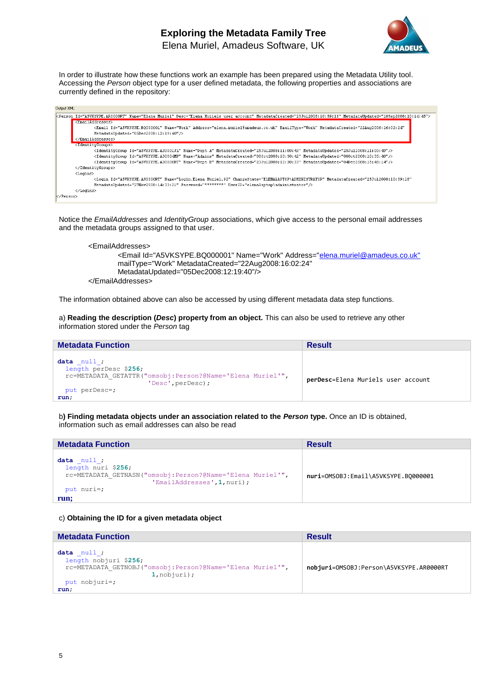

In order to illustrate how these functions work an example has been prepared using the Metadata Utility tool. Accessing the *Person* object type for a user defined metadata, the following properties and associations are currently defined in the repository:

| Output XML:                                                                                                                                                     |
|-----------------------------------------------------------------------------------------------------------------------------------------------------------------|
| kPerson Id="A5VKSYPE.AR0000RT" Name="Elena Muriel" Desc="Elena Muriels user account" MetadataCreated="25Ju12008:10:59:18" MetadataUpdated="18Sep2008:10:14:45"> |
| <emailaddresses></emailaddresses>                                                                                                                               |
| <email <="" address="elena.muriel@amadeus.co.uk" emailtype="Work" id="A5VKSYPE.BQ000001" metadatacreated="22Aug2008:16:02:24" name="Work" td=""></email>        |
| MetadataUpdated="05Dec2008:12:19:40"/>                                                                                                                          |
|                                                                                                                                                                 |
| <identitygroups></identitygroups>                                                                                                                               |
| <ldentitygroup id="A5VKSYPE.A30001JL" metadatacreated="25Ju12008:11:00:49" metadataupdated="25Ju12008:11:00:49" name="Dept A"></ldentitygroup>                  |
| <ldentitygroup id="A5VKSYPE.A30004MP" metadatacreated="080ct2008;10:30:42" metadataupdated="080ct2008;10:35:40" name="Admins"></ldentitygroup>                  |
| <ldentitvgroup id="A5VKSYPE.A30000RT" metadatacreated="23Ju12008:12:30:33" metadataupdated="04Dec2008:15:48:14" name="Dept B"></ldentitvgroup>                  |
|                                                                                                                                                                 |
| <logins></logins>                                                                                                                                               |
| <login <="" changestate="ELENALAPTOP\ADMINISTRATOR" id="A5VKSYPE.AS0000RT" metadatacreated="25Jul2008:10:59:18" name="Login.Elena Muriel.92" td=""></login>     |
| MetadataUpdated="27Nov2008:14:33:21" Password="********" UserID="elenalaptop\administrator"/>                                                                   |
|                                                                                                                                                                 |
| k/Person>                                                                                                                                                       |

Notice the *EmailAddresses* and *IdentityGroup* associations, which give access to the personal email addresses and the metadata groups assigned to that user.

```
<EmailAddresses>
       <Email Id="A5VKSYPE.BQ000001" Name="Work" Address="elena.muriel@amadeus.co.uk"
       mailType="Work" MetadataCreated="22Aug2008:16:02:24" 
       MetadataUpdated="05Dec2008:12:19:40"/>
</EmailAddresses>
```
The information obtained above can also be accessed by using different metadata data step functions.

a) **Reading the description (***Desc***) property from an object.** This can also be used to retrieve any other information stored under the *Person* tag

| <b>Metadata Function</b>                                                                                                                       | <b>Result</b>                      |
|------------------------------------------------------------------------------------------------------------------------------------------------|------------------------------------|
| data null;<br>length perDesc \$256;<br>rc=METADATA GETATTR("omsobj:Person?@Name='Elena Muriel'",<br>'Desc', perDesc);<br>put perDesc=;<br>run; | perDesc=Elena Muriels user account |

b**) Finding metadata objects under an association related to the** *Person* **type.** Once an ID is obtained, information such as email addresses can also be read

| <b>Metadata Function</b>                                                                                                                   | <b>Result</b>                       |
|--------------------------------------------------------------------------------------------------------------------------------------------|-------------------------------------|
| data null;<br>length nuri \$256;<br>rc=METADATA GETNASN("omsobj:Person?@Name='Elena Muriel'",<br>'EmailAddresses', 1, nuri);<br>put nuri=; | nuri=0MS0BJ:Email\A5VKSYPE.B0000001 |
| run;                                                                                                                                       |                                     |

#### c) **Obtaining the ID for a given metadata object**

| <b>Metadata Function</b>                                                                                                                   | <b>Result</b>                           |
|--------------------------------------------------------------------------------------------------------------------------------------------|-----------------------------------------|
| data null;<br>length nobjuri \$256;<br>rc=METADATA GETNOBJ("omsobj: Person?@Name='Elena Muriel'",<br>1, nobjuri);<br>put nobjuri=;<br>run; | nobjuri=0MS0BJ:Person\A5VKSYPE.AR0000RT |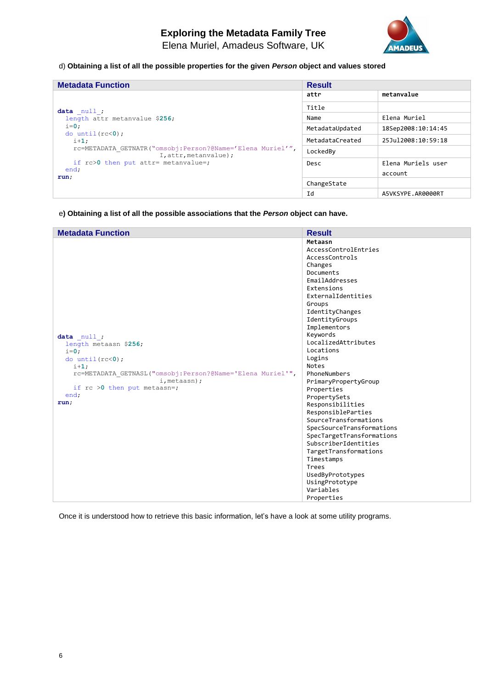

# d) **Obtaining a list of all the possible properties for the given** *Person* **object and values stored**

| <b>Metadata Function</b>                                                           | <b>Result</b>   |                    |
|------------------------------------------------------------------------------------|-----------------|--------------------|
|                                                                                    | attr            | metanvalue         |
| data null;                                                                         | Title           |                    |
| length attr metanvalue \$256;                                                      | Name            | Elena Muriel       |
| $i=0$ :<br>do until $(rc<0)$ ;                                                     | MetadataUpdated | 18Sep2008:10:14:45 |
| $i+1$ :                                                                            | MetadataCreated | 25Jul2008:10:59:18 |
| rc=METADATA GETNATR("omsobj:Person?@Name='Elena Muriel'",<br>I, attr, metanvalue); | LockedBy        |                    |
| if $rc>0$ then put attr= metanvalue=;<br>end;                                      | Desc            | Elena Muriels user |
| run;                                                                               |                 | account            |
|                                                                                    | ChangeState     |                    |
|                                                                                    | Id              | A5VKSYPE.AR0000RT  |

e**) Obtaining a list of all the possible associations that the** *Person* **object can have.**

| <b>Metadata Function</b>                                   | <b>Result</b>             |
|------------------------------------------------------------|---------------------------|
|                                                            | Metaasn                   |
|                                                            | AccessControlEntries      |
|                                                            | AccessControls            |
|                                                            | Changes                   |
|                                                            | Documents                 |
|                                                            | EmailAddresses            |
|                                                            | Extensions                |
|                                                            | ExternalIdentities        |
|                                                            | Groups                    |
|                                                            | IdentityChanges           |
|                                                            | IdentityGroups            |
|                                                            | Implementors              |
| data null;                                                 | Keywords                  |
| length metaasn \$256;                                      | LocalizedAttributes       |
| $i=0$ :                                                    | Locations                 |
| do $until(rc<0);$                                          | Logins                    |
| $i+1$ ;                                                    | Notes                     |
| rc=METADATA GETNASL("omsobj: Person?@Name='Elena Muriel'", | PhoneNumbers              |
| i, metaasn);                                               | PrimaryPropertyGroup      |
| if $rc > 0$ then put metaasn=;                             | Properties                |
| end;                                                       | PropertySets              |
| run;                                                       | Responsibilities          |
|                                                            | ResponsibleParties        |
|                                                            | SourceTransformations     |
|                                                            | SpecSourceTransformations |
|                                                            | SpecTargetTransformations |
|                                                            | SubscriberIdentities      |
|                                                            | TargetTransformations     |
|                                                            | Timestamps                |
|                                                            | Trees                     |
|                                                            | UsedByPrototypes          |
|                                                            | UsingPrototype            |
|                                                            | Variables                 |
|                                                            | Properties                |

Once it is understood how to retrieve this basic information, let's have a look at some utility programs.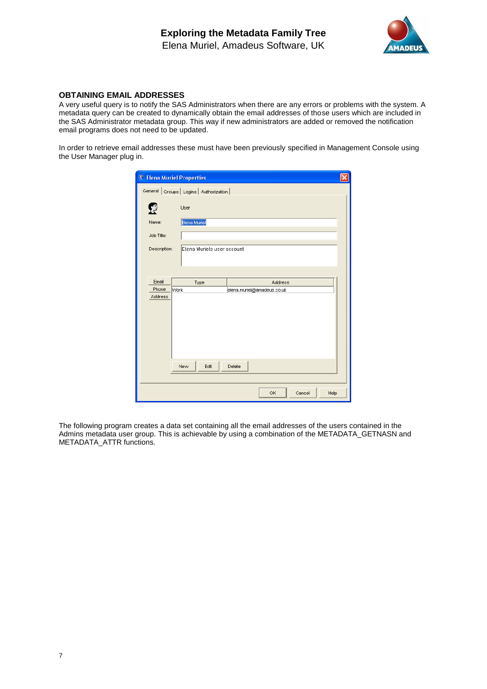

# **OBTAINING EMAIL ADDRESSES**

A very useful query is to notify the SAS Administrators when there are any errors or problems with the system. A metadata query can be created to dynamically obtain the email addresses of those users which are included in the SAS Administrator metadata group. This way if new administrators are added or removed the notification email programs does not need to be updated.

In order to retrieve email addresses these must have been previously specified in Management Console using the User Manager plug in.

|              | <b>T</b> Elena Muriel Properties        |                             |  |
|--------------|-----------------------------------------|-----------------------------|--|
|              | General Groups   Logins   Authorization |                             |  |
|              | User                                    |                             |  |
| Name:        | Elena Muriel                            |                             |  |
| Job Title:   |                                         |                             |  |
| Description: | Elena Muriels user account              |                             |  |
| Email        | Type                                    | <b>Address</b>              |  |
| Phone        | <b>Work</b>                             | elena.muriel@amadeus.co.uk  |  |
| Address      | New<br>Edit                             | Delete                      |  |
|              |                                         |                             |  |
|              |                                         | <b>OK</b><br>Help<br>Cancel |  |

The following program creates a data set containing all the email addresses of the users contained in the Admins metadata user group. This is achievable by using a combination of the METADATA\_GETNASN and METADATA\_ATTR functions.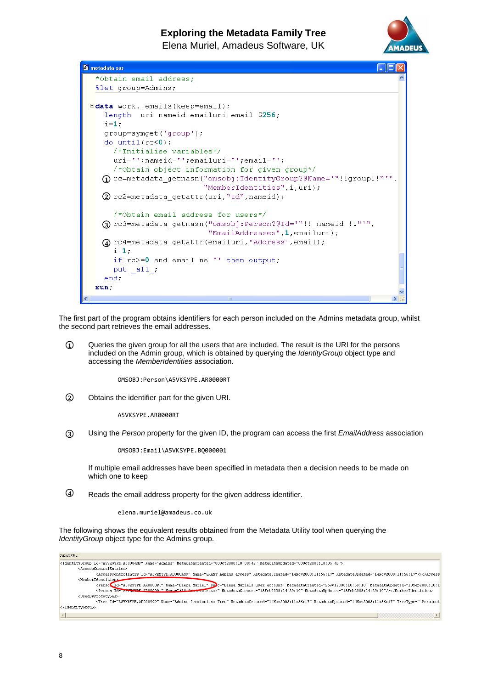

```
El metadata.sas
                                                                           \Box\boxtimes*Obtain email address;
   Slet group=Admins;
 Edata work. emails (keep=email);
     length uri nameid emailuri email $256;
     i=1;
     group=symget('group');
     do until(rc<0);
       /*Initialise variables*/
       uri='';nameid='';emailuri='';email='';
       /*Obtain object information for given group*/
    \overline{0} rc=metadata_getnasn("omsobj:IdentityGroup?@Name='"!!group!!"'",
                             "MemberIdentities", i, uri);
    \Omega rc2=metadata getattr(uri, "Id", nameid);
       /*Obtain email address for users*/
    \textcircled{3} rc3=metadata_getnasn("omsobj:Person?@Id='"!! nameid !!"'",
                              "EmailAddresses", 1, emailuri);
    \mathbf Q rc4=metadata_getattr(emailuri,"Address",email);
       i+1:
       if rc>=0 and email ne '' then output;
       put a11.
     end;
  run.
```
The first part of the program obtains identifiers for each person included on the Admins metadata group, whilst the second part retrieves the email addresses.

Queries the given group for all the users that are included. The result is the URI for the persons included on the Admin group, which is obtained by querying the *IdentityGroup* object type and accessing the *MemberIdentities* association. **1**

OMSOBJ:Person\A5VKSYPE.AR0000RT

Obtains the identifier part for the given URI. **2**

A5VKSYPE.AR0000RT

Using the *Person* property for the given ID, the program can access the first *EmailAddress* association **3**

OMSOBJ:Email\A5VKSYPE.BQ000001

If multiple email addresses have been specified in metadata then a decision needs to be made on which one to keep

Reads the email address property for the given address identifier. **4**

elena.muriel@amadeus.co.uk

The following shows the equivalent results obtained from the Metadata Utility tool when querying the *IdentityGroup* object type for the Admins group.

| Output XML:                                                                                                                                                                                             |
|---------------------------------------------------------------------------------------------------------------------------------------------------------------------------------------------------------|
| kIdentityGroup Id="A5VKSYPE.A30004MP" Name="Admins" MetadataCreated="080ct2008:10:30:42" MetadataUpdated="080ct2008:10:35:40">                                                                          |
| <accesscontrolentries></accesscontrolentries>                                                                                                                                                           |
| <accesscontrolentry id="A5VKSYPE.A8000ASX" metadatacreated="14Nov2008:11:56:17" metadataupdated="14Nov2008:11:56:17" name="GRANT Admins access"></accesscontrolentry>                                   |
| <memberidentities></memberidentities>                                                                                                                                                                   |
| <person a3vh#vpf="" araaaaaaa"="" dedc="Elena Muriels user account" id="A5VKSYPE.AR0000RT" metadatacreated="18Feb2008:14:29:19" metadataupdated="18Feb2008:14:29:19" name="SAS A4winistrator"></person> |
| <usedbvprototypes></usedbvprototypes>                                                                                                                                                                   |
| <Tree Id="A5VKSYPE.AK00099D" Name="Admins Permissions Tree" MetadataCreated="14Nov2008:11:56:17" MetadataUpdated="14Nov2008:11:56:17" TreeType=" Permissi</td>                                          |
|                                                                                                                                                                                                         |
|                                                                                                                                                                                                         |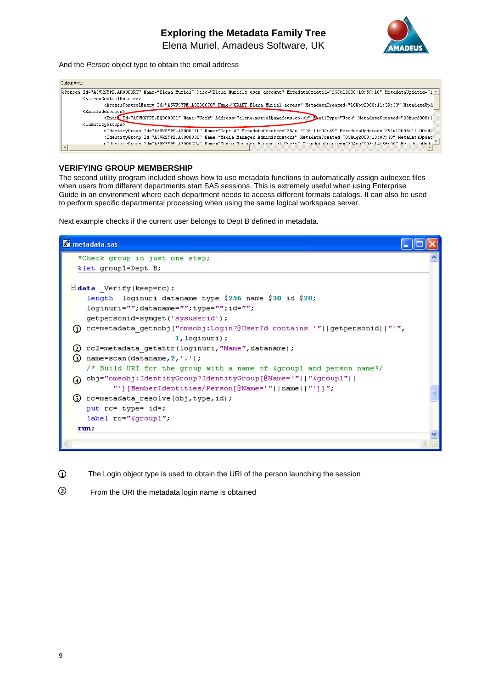

And the *Person* object type to obtain the email address

| Output XML:                                                                                                                                                                                                           |
|-----------------------------------------------------------------------------------------------------------------------------------------------------------------------------------------------------------------------|
|                                                                                                                                                                                                                       |
| <accesscontrolentries></accesscontrolentries>                                                                                                                                                                         |
| <accesscontrolentry id="A5VKSYPE.A8000CC0" metadatacreated="18Nov2008:11:39:53" metadataupd<="" name="GRANT Elena Muriel access" td=""></accesscontrolentry>                                                          |
| <emailaddresses></emailaddresses>                                                                                                                                                                                     |
| <email <="" a5vksype.a30001jl"="" address="elena.muriel@amadeus.co.uk" emailtype="Work" id="A5VKSYPE.B0000001" metadatacreated="25Ju12008:11:00:49" metadataupdated="25Ju12008:11:00:49" name="Dept A" td=""></email> |
| <identitygroup id="A5VKSYPE.A3000336" metadatacreated="05Aug2008:13:07:40" metadataupdat<="" name="Media Manager Administrators" td=""></identitygroup>                                                               |
| <tdentitygroun_id="aswksvpf_a30003ux" _metadatacreated="27Aug2008:14:56:00" _metadataunda<="" mame="Media_Manager_Financial_Hsers" td=""></tdentitygroun_id="aswksvpf_a30003ux">                                      |
|                                                                                                                                                                                                                       |

#### **VERIFYING GROUP MEMBERSHIP**

The second utility program included shows how to use metadata functions to automatically assign autoexec files when users from different departments start SAS sessions. This is extremely useful when using Enterprise Guide in an environment where each department needs to access different formats catalogs. It can also be used to perform specific departmental processing when using the same logical workspace server.

Next example checks if the current user belongs to Dept B defined in metadata.

```
Ei metadata.sas
   *Check group in just one step;
   % let group1=Dept B;
 \Boxdata _Verify(keep=rc);
     length loginuri dataname type $256 name $30 id $20;
     loginuri="";dataname="";type="";id="";
     getpersonid=symget('sysuserid');
  \Omega rc=metadata getnobj("omsobj:Login?@UserId contains '"||getpersonid||"'",
                          1, loginuri);
  2 rc2=metadata_getattr(loginuri, "Name", dataname) ;
  \overline{3} name=scan(dataname, 2, '.');
     /* Build URI for the group with a name of £group1 and person name*/
  \overline{4} obj="omsobj:IdentityGroup?IdentityGroup[@Name='"||"&group1"||
           "'][MemberIdentities/Person[@Name='"||name||"']]";
  S rc=metadata_resolve(obj, type, id) ;
     put rc= type= id=;
     label rc="&group1";
   run;
```
The Login object type is used to obtain the URI of the person launching the session **1**

From the URI the metadata login name is obtained **2**